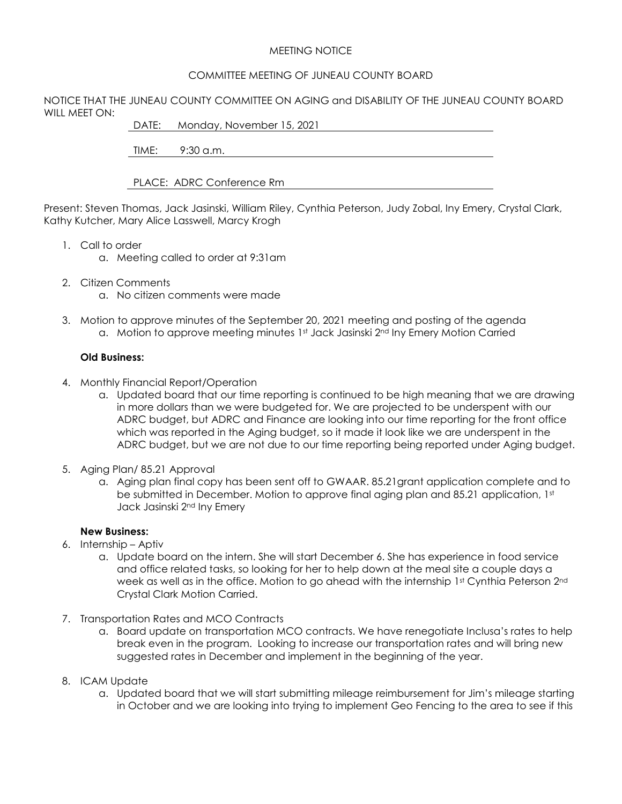## MEETING NOTICE

## COMMITTEE MEETING OF JUNEAU COUNTY BOARD

NOTICE THAT THE JUNEAU COUNTY COMMITTEE ON AGING and DISABILITY OF THE JUNEAU COUNTY BOARD WILL MEET ON:

DATE: Monday, November 15, 2021

TIME: 9:30 a.m.

PLACE: ADRC Conference Rm

Present: Steven Thomas, Jack Jasinski, William Riley, Cynthia Peterson, Judy Zobal, Iny Emery, Crystal Clark, Kathy Kutcher, Mary Alice Lasswell, Marcy Krogh

- 1. Call to order
	- a. Meeting called to order at 9:31am
- 2. Citizen Comments
	- a. No citizen comments were made
- 3. Motion to approve minutes of the September 20, 2021 meeting and posting of the agenda a. Motion to approve meeting minutes 1st Jack Jasinski 2<sup>nd</sup> Iny Emery Motion Carried

## **Old Business:**

- 4. Monthly Financial Report/Operation
	- a. Updated board that our time reporting is continued to be high meaning that we are drawing in more dollars than we were budgeted for. We are projected to be underspent with our ADRC budget, but ADRC and Finance are looking into our time reporting for the front office which was reported in the Aging budget, so it made it look like we are underspent in the ADRC budget, but we are not due to our time reporting being reported under Aging budget.
- 5. Aging Plan/ 85.21 Approval
	- a. Aging plan final copy has been sent off to GWAAR. 85.21grant application complete and to be submitted in December. Motion to approve final aging plan and 85.21 application,  $1<sup>st</sup>$ Jack Jasinski 2nd Iny Emery

## **New Business:**

- 6. Internship Aptiv
	- a. Update board on the intern. She will start December 6. She has experience in food service and office related tasks, so looking for her to help down at the meal site a couple days a week as well as in the office. Motion to go ahead with the internship 1st Cynthia Peterson 2nd Crystal Clark Motion Carried.
- 7. Transportation Rates and MCO Contracts
	- a. Board update on transportation MCO contracts. We have renegotiate Inclusa's rates to help break even in the program. Looking to increase our transportation rates and will bring new suggested rates in December and implement in the beginning of the year.
- 8. ICAM Update
	- a. Updated board that we will start submitting mileage reimbursement for Jim's mileage starting in October and we are looking into trying to implement Geo Fencing to the area to see if this